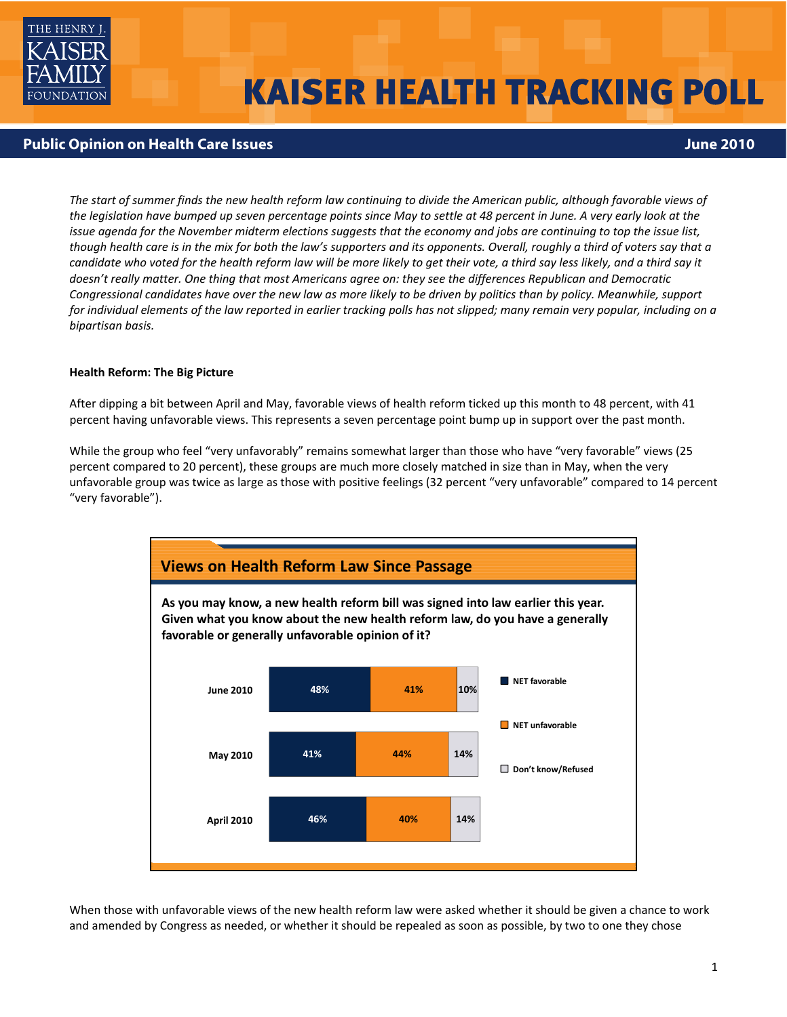

# **KAISER HEALTH TRACKING POLL**

# **Public Opinion on Health Care Issues June 2010**

The start of summer finds the new health reform law continuing to divide the American public, although favorable views of the legislation have bumped up seven percentage points since May to settle at 48 percent in June. A very early look at the issue agenda for the November midterm elections suggests that the economy and jobs are continuing to top the issue list, though health care is in the mix for both the law's supporters and its opponents. Overall, roughly a third of voters say that a candidate who voted for the health reform law will be more likely to get their vote, a third say less likely, and a third say it doesn't really matter. One thing that most Americans agree on: they see the differences Republican and Democratic Congressional candidates have over the new law as more likely to be driven by politics than by policy. Meanwhile, support for individual elements of the law reported in earlier tracking polls has not slipped; many remain very popular, including on a *bipartisan basis.*

## **Health Reform: The Big Picture**

After dipping a bit between April and May, favorable views of health reform ticked up this month to 48 percent, with 41 percent having unfavorable views. This represents a seven percentage point bump up in support over the past month.

While the group who feel "very unfavorably" remains somewhat larger than those who have "very favorable" views (25 percent compared to 20 percent), these groups are much more closely matched in size than in May, when the very unfavorable group was twice as large as those with positive feelings (32 percent "very unfavorable" compared to 14 percent "very favorable").



When those with unfavorable views of the new health reform law were asked whether it should be given a chance to work and amended by Congress as needed, or whether it should be repealed as soon as possible, by two to one they chose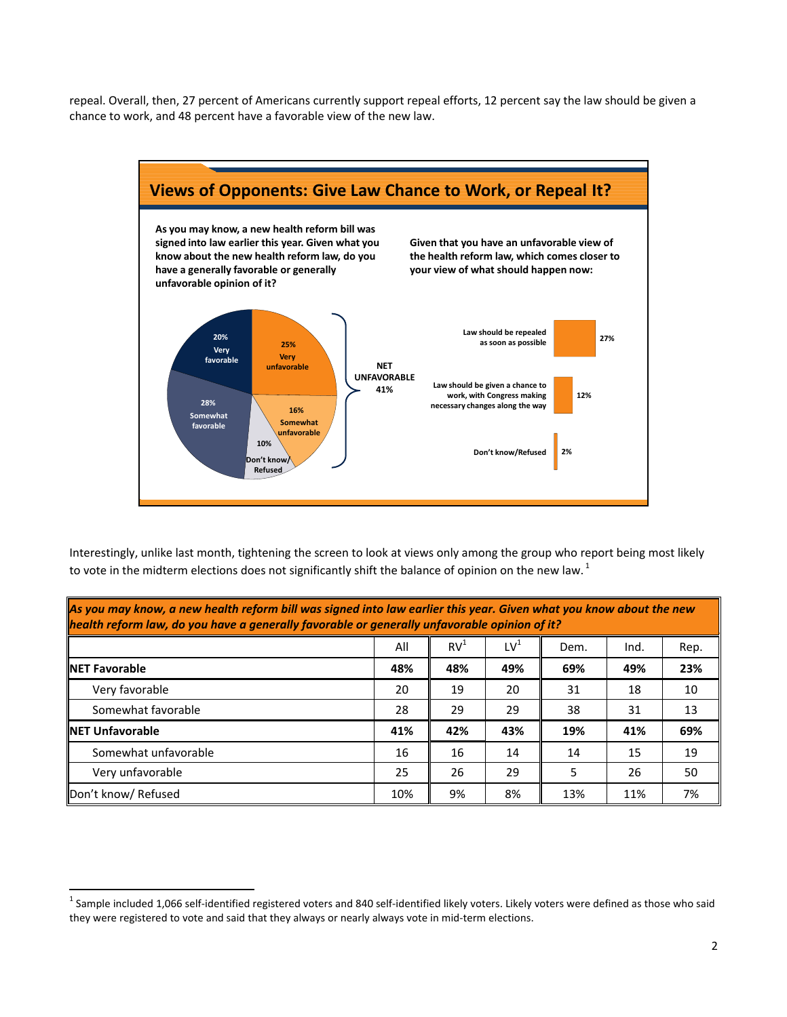repeal. Overall, then, 27 percent of Americans currently support repeal efforts, 12 percent say the law should be given a chance to work, and 48 percent have a favorable view of the new law.



Interestingly, unlike last month, tightening the screen to look at views only among the group who report being most likely to vote in the midterm elections does not significantly shift the balance of opinion on the new law.  $^1$ 

| As you may know, a new health reform bill was signed into law earlier this year. Given what you know about the new<br>health reform law, do you have a generally favorable or generally unfavorable opinion of it? |     |                 |                 |      |      |      |
|--------------------------------------------------------------------------------------------------------------------------------------------------------------------------------------------------------------------|-----|-----------------|-----------------|------|------|------|
|                                                                                                                                                                                                                    | All | RV <sup>1</sup> | LV <sup>1</sup> | Dem. | Ind. | Rep. |
| <b>INET Favorable</b>                                                                                                                                                                                              | 48% | 48%             | 49%             | 69%  | 49%  | 23%  |
| Very favorable                                                                                                                                                                                                     | 20  | 19              | 20              | 31   | 18   | 10   |
| Somewhat favorable                                                                                                                                                                                                 | 28  | 29              | 29              | 38   | 31   | 13   |
| <b>INET Unfavorable</b>                                                                                                                                                                                            | 41% | 42%             | 43%             | 19%  | 41%  | 69%  |
| Somewhat unfavorable                                                                                                                                                                                               | 16  | 16              | 14              | 14   | 15   | 19   |
| Very unfavorable                                                                                                                                                                                                   | 25  | 26              | 29              | 5    | 26   | 50   |
| Don't know/ Refused                                                                                                                                                                                                | 10% | 9%              | 8%              | 13%  | 11%  | 7%   |

 $1$  Sample included 1,066 self-identified registered voters and 840 self-identified likely voters. Likely voters were defined as those who said they were registered to vote and said that they always or nearly always vote in mid-term elections.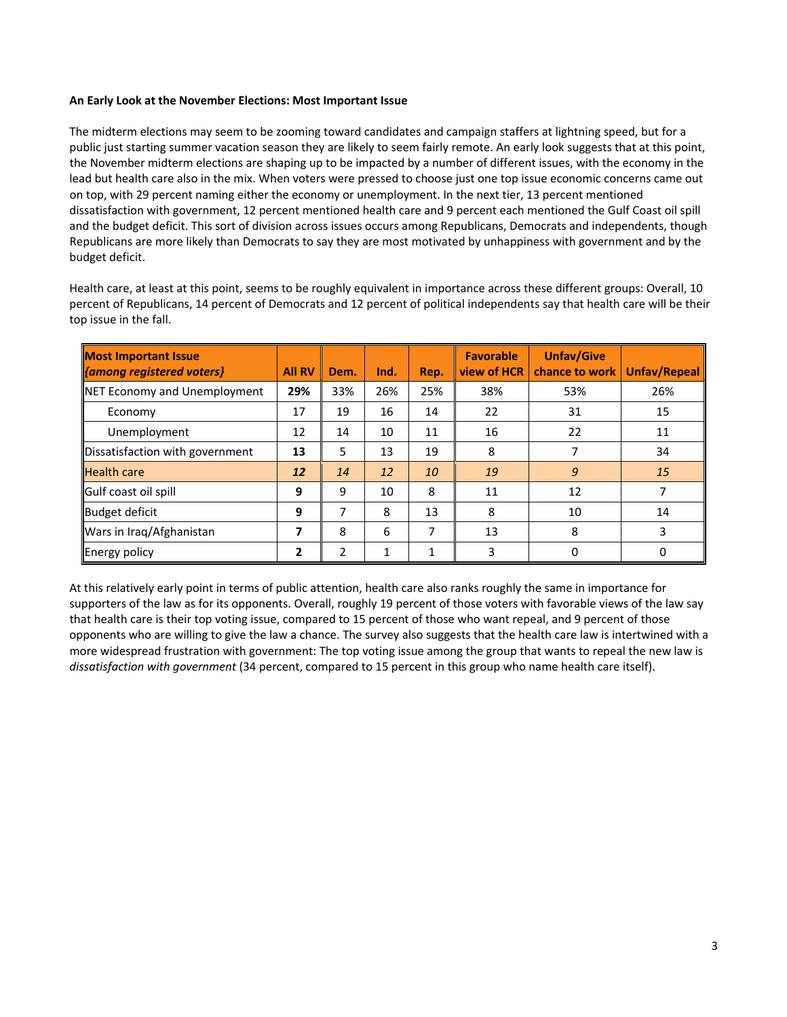## **An Early Look at the November Elections: Most Important Issue**

The midterm elections may seem to be zooming toward candidates and campaign staffers at lightning speed, but for a public just starting summer vacation season they are likely to seem fairly remote. An early look suggests that at this point, the November midterm elections are shaping up to be impacted by a number of different issues, with the economy in the lead but health care also in the mix. When voters were pressed to choose just one top issue economic concerns came out on top, with 29 percent naming either the economy or unemployment. In the next tier, 13 percent mentioned dissatisfaction with government, 12 percent mentioned health care and 9 percent each mentioned the Gulf Coast oil spill and the budget deficit. This sort of division across issues occurs among Republicans, Democrats and independents, though Republicans are more likely than Democrats to say they are most motivated by unhappiness with government and by the budget deficit.

| <b>Most Important Issue</b><br><b>{among registered voters}</b> | <b>All RV</b>   | Dem. | Ind. | Rep. | <b>Favorable</b><br>view of HCR | <b>Unfav/Give</b><br>chance to work | <b>Unfav/Repeal</b> |
|-----------------------------------------------------------------|-----------------|------|------|------|---------------------------------|-------------------------------------|---------------------|
| NET Economy and Unemployment                                    | 29%             | 33%  | 26%  | 25%  | 38%                             | 53%                                 | 26%                 |
| Economy                                                         | 17              | 19   | 16   | 14   | 22                              | 31                                  | 15                  |
| Unemployment                                                    | 12              | 14   | 10   | 11   | 16                              | 22                                  | 11                  |
| Dissatisfaction with government                                 | 13              | 5    | 13   | 19   | 8                               |                                     | 34                  |
| <b>Health care</b>                                              | 12 <sup>7</sup> | 14   | 12   | 10   | 19                              | 9                                   | 15                  |
| Gulf coast oil spill                                            | 9               | 9    | 10   | 8    | 11                              | 12                                  | 7                   |
| <b>Budget deficit</b>                                           | 9               | 7    | 8    | 13   | 8                               | 10                                  | 14                  |
| Wars in Iraq/Afghanistan                                        | 7               | 8    | 6    | 7    | 13                              | 8                                   | 3                   |
| Energy policy                                                   | 2               | 2    | 1    |      | 3                               | 0                                   | 0                   |

Health care, at least at this point, seems to be roughly equivalent in importance across these different groups: Overall, 10 percent of Republicans, 14 percent of Democrats and 12 percent of political independents say that health care will be their top issue in the fall.

At this relatively early point in terms of public attention, health care also ranks roughly the same in importance for supporters of the law as for its opponents. Overall, roughly 19 percent of those voters with favorable views of the law say that health care is their top voting issue, compared to 15 percent of those who want repeal, and 9 percent of those opponents who are willing to give the law a chance. The survey also suggests that the health care law is intertwined with a more widespread frustration with government: The top voting issue among the group that wants to repeal the new law is *dissatisfaction with government* (34 percent, compared to 15 percent in this group who name health care itself).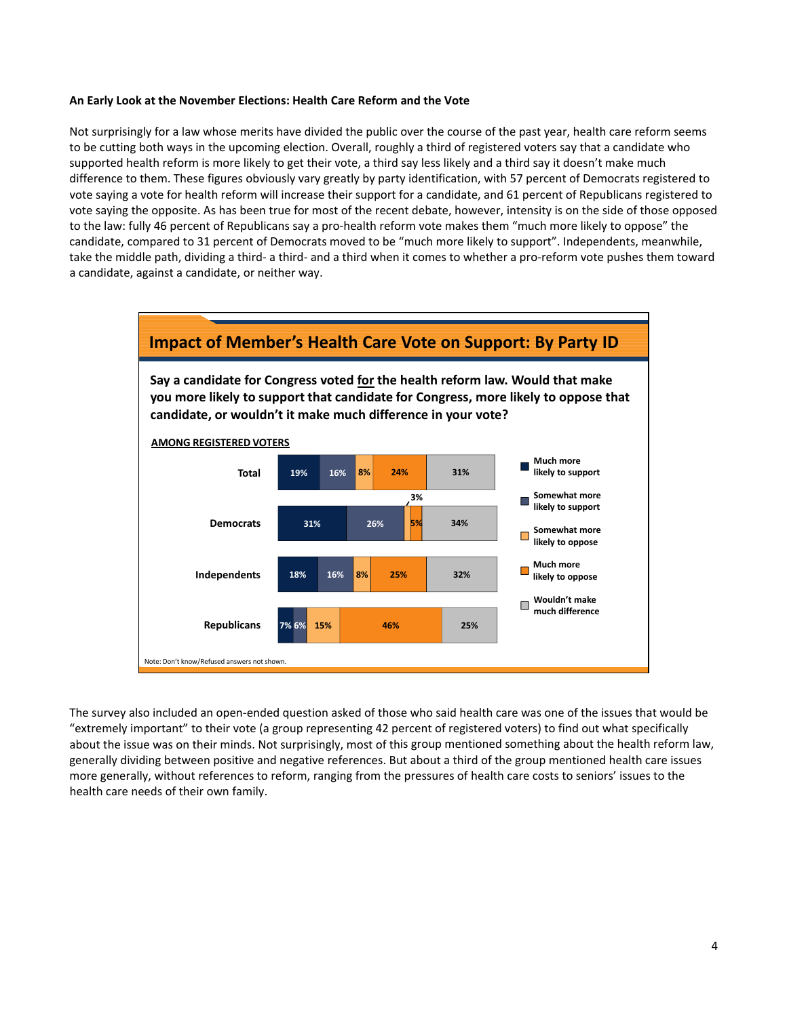## **An Early Look at the November Elections: Health Care Reform and the Vote**

Not surprisingly for a law whose merits have divided the public over the course of the past year, health care reform seems to be cutting both ways in the upcoming election. Overall, roughly a third of registered voters say that a candidate who supported health reform is more likely to get their vote, a third say less likely and a third say it doesn't make much difference to them. These figures obviously vary greatly by party identification, with 57 percent of Democrats registered to vote saying a vote for health reform will increase their support for a candidate, and 61 percent of Republicans registered to vote saying the opposite. As has been true for most of the recent debate, however, intensity is on the side of those opposed to the law: fully 46 percent of Republicans say a pro‐health reform vote makes them "much more likely to oppose" the candidate, compared to 31 percent of Democrats moved to be "much more likely to support". Independents, meanwhile, take the middle path, dividing a third‐ a third‐ and a third when it comes to whether a pro‐reform vote pushes them toward a candidate, against a candidate, or neither way.



The survey also included an open‐ended question asked of those who said health care was one of the issues that would be "extremely important" to their vote (a group representing 42 percent of registered voters) to find out what specifically about the issue was on their minds. Not surprisingly, most of this group mentioned something about the health reform law, generally dividing between positive and negative references. But about a third of the group mentioned health care issues more generally, without references to reform, ranging from the pressures of health care costs to seniors' issues to the health care needs of their own family.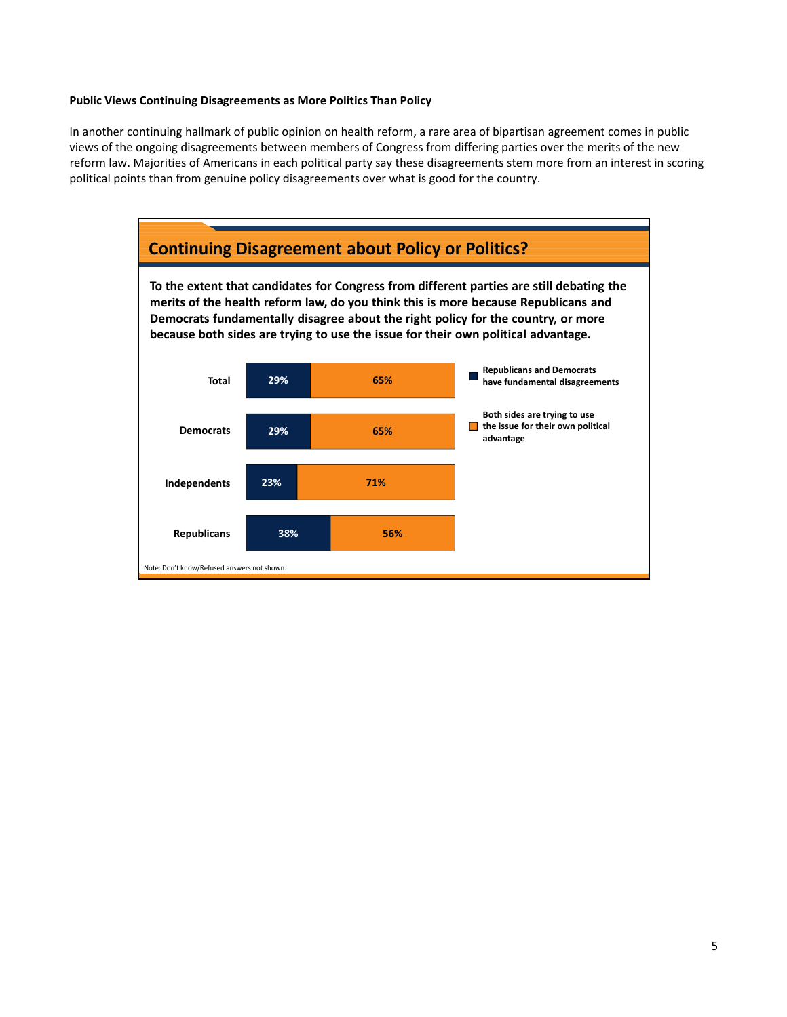### **Public Views Continuing Disagreements as More Politics Than Policy**

In another continuing hallmark of public opinion on health reform, a rare area of bipartisan agreement comes in public views of the ongoing disagreements between members of Congress from differing parties over the merits of the new reform law. Majorities of Americans in each political party say these disagreements stem more from an interest in scoring political points than from genuine policy disagreements over what is good for the country.

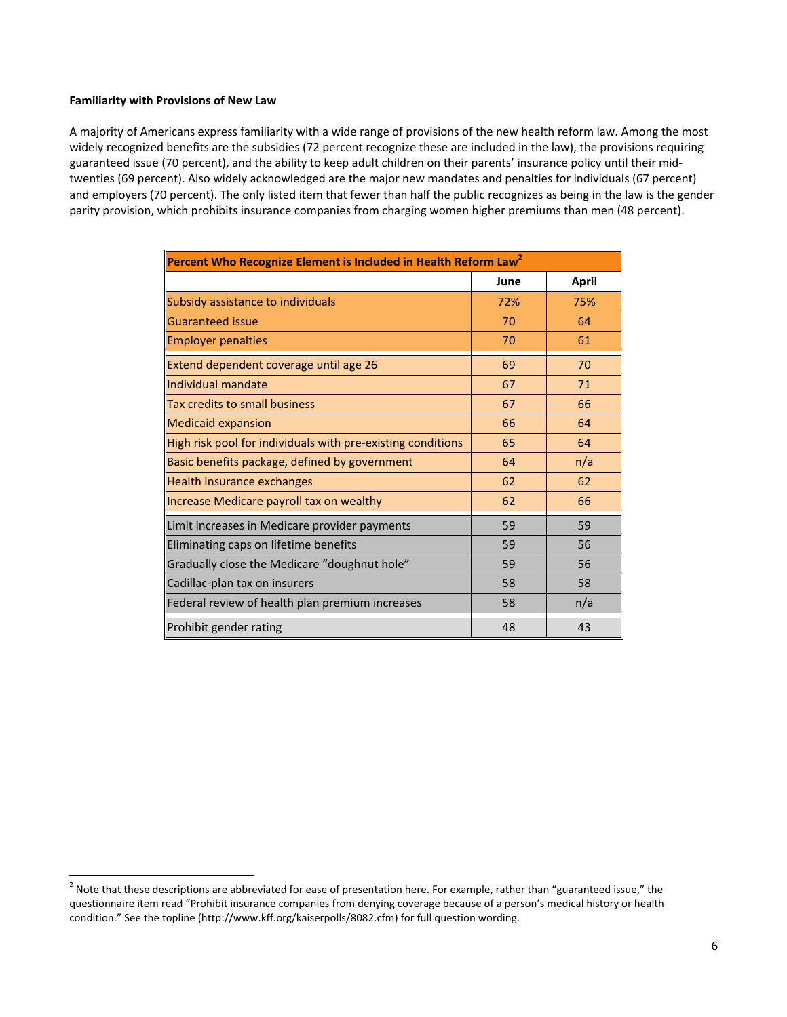### **Familiarity with Provisions of New Law**

A majority of Americans express familiarity with a wide range of provisions of the new health reform law. Among the most widely recognized benefits are the subsidies (72 percent recognize these are included in the law), the provisions requiring guaranteed issue (70 percent), and the ability to keep adult children on their parents' insurance policy until their mid‐ twenties (69 percent). Also widely acknowledged are the major new mandates and penalties for individuals (67 percent) and employers (70 percent). The only listed item that fewer than half the public recognizes as being in the law is the gender parity provision, which prohibits insurance companies from charging women higher premiums than men (48 percent).

| Percent Who Recognize Element is Included in Health Reform Law <sup>2</sup> |      |              |  |  |
|-----------------------------------------------------------------------------|------|--------------|--|--|
|                                                                             | June | <b>April</b> |  |  |
| Subsidy assistance to individuals                                           | 72%  | 75%          |  |  |
| Guaranteed issue                                                            | 70   | 64           |  |  |
| <b>Employer penalties</b>                                                   | 70   | 61           |  |  |
| Extend dependent coverage until age 26                                      | 69   | 70           |  |  |
| Individual mandate                                                          | 67   | 71           |  |  |
| Tax credits to small business                                               | 67   | 66           |  |  |
| <b>Medicaid expansion</b>                                                   | 66   | 64           |  |  |
| High risk pool for individuals with pre-existing conditions                 | 65   | 64           |  |  |
| Basic benefits package, defined by government                               | 64   | n/a          |  |  |
| Health insurance exchanges                                                  | 62   | 62           |  |  |
| Increase Medicare payroll tax on wealthy                                    | 62   | 66           |  |  |
| Limit increases in Medicare provider payments                               | 59   | 59           |  |  |
| Eliminating caps on lifetime benefits                                       | 59   | 56           |  |  |
| Gradually close the Medicare "doughnut hole"                                | 59   | 56           |  |  |
| Cadillac-plan tax on insurers                                               | 58   | 58           |  |  |
| Federal review of health plan premium increases                             | 58   | n/a          |  |  |
| Prohibit gender rating                                                      | 48   | 43           |  |  |

 $2$  Note that these descriptions are abbreviated for ease of presentation here. For example, rather than "guaranteed issue," the questionnaire item read "Prohibit insurance companies from denying coverage because of a person's medical history or health condition." See the topline (http://www.kff.org/kaiserpolls/8082.cfm) for full question wording.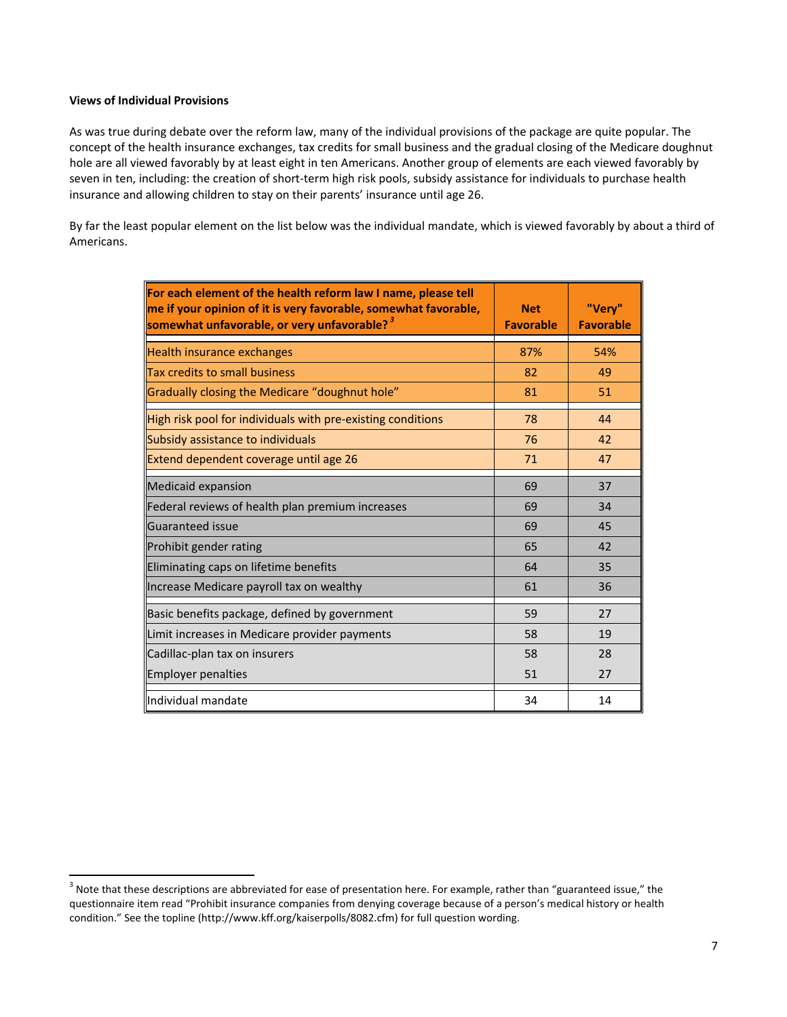## **Views of Individual Provisions**

As was true during debate over the reform law, many of the individual provisions of the package are quite popular. The concept of the health insurance exchanges, tax credits for small business and the gradual closing of the Medicare doughnut hole are all viewed favorably by at least eight in ten Americans. Another group of elements are each viewed favorably by seven in ten, including: the creation of short-term high risk pools, subsidy assistance for individuals to purchase health insurance and allowing children to stay on their parents' insurance until age 26.

By far the least popular element on the list below was the individual mandate, which is viewed favorably by about a third of Americans.

| For each element of the health reform law I name, please tell<br>me if your opinion of it is very favorable, somewhat favorable,<br>somewhat unfavorable, or very unfavorable? <sup>3</sup> | <b>Net</b><br><b>Favorable</b> | "Very"<br><b>Favorable</b> |
|---------------------------------------------------------------------------------------------------------------------------------------------------------------------------------------------|--------------------------------|----------------------------|
| Health insurance exchanges                                                                                                                                                                  | 87%                            | 54%                        |
| <b>Tax credits to small business</b>                                                                                                                                                        | 82                             | 49                         |
| Gradually closing the Medicare "doughnut hole"                                                                                                                                              | 81                             | 51                         |
| High risk pool for individuals with pre-existing conditions                                                                                                                                 | 78                             | 44                         |
| Subsidy assistance to individuals                                                                                                                                                           | 76                             | 42                         |
| Extend dependent coverage until age 26                                                                                                                                                      | 71                             | 47                         |
| <b>Medicaid expansion</b>                                                                                                                                                                   | 69                             | 37                         |
| Federal reviews of health plan premium increases                                                                                                                                            | 69                             | 34                         |
| <b>Guaranteed issue</b>                                                                                                                                                                     | 69                             | 45                         |
| Prohibit gender rating                                                                                                                                                                      | 65                             | 42                         |
| Eliminating caps on lifetime benefits                                                                                                                                                       | 64                             | 35                         |
| Increase Medicare payroll tax on wealthy                                                                                                                                                    | 61                             | 36                         |
| Basic benefits package, defined by government                                                                                                                                               | 59                             | 27                         |
| Limit increases in Medicare provider payments                                                                                                                                               | 58                             | 19                         |
| Cadillac-plan tax on insurers                                                                                                                                                               | 58                             | 28                         |
| <b>Employer penalties</b>                                                                                                                                                                   | 51                             | 27                         |
| lIndividual mandate                                                                                                                                                                         | 34                             | 14                         |

 $3$  Note that these descriptions are abbreviated for ease of presentation here. For example, rather than "guaranteed issue," the questionnaire item read "Prohibit insurance companies from denying coverage because of a person's medical history or health condition." See the topline (http://www.kff.org/kaiserpolls/8082.cfm) for full question wording.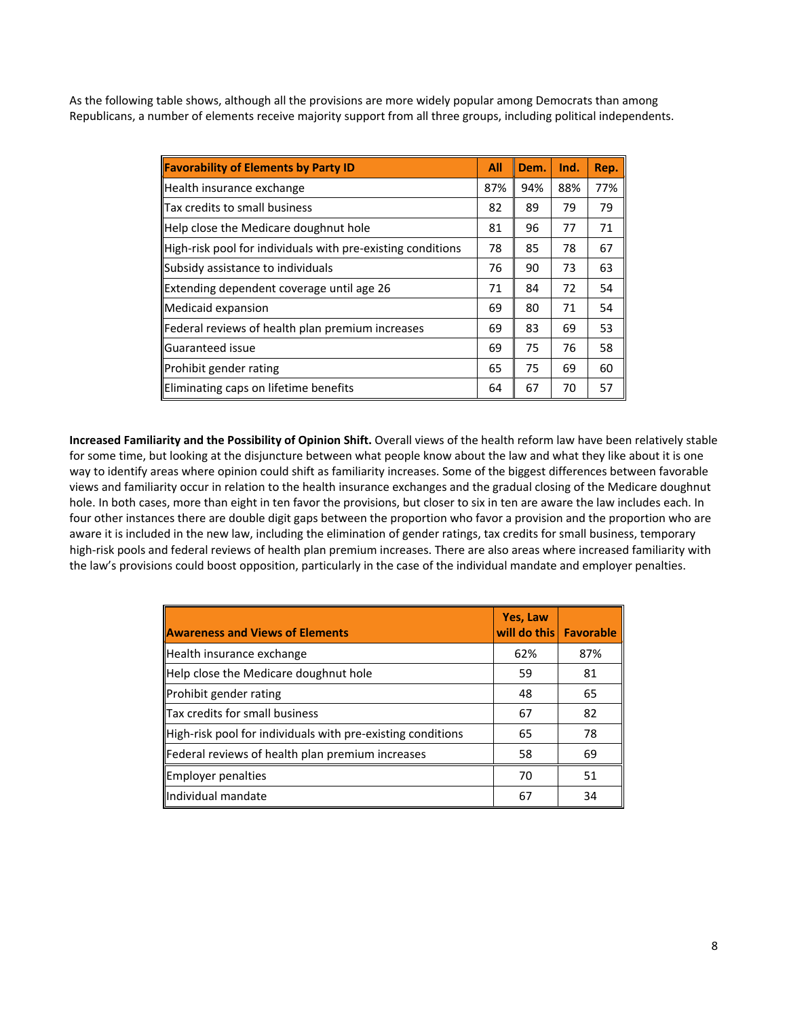As the following table shows, although all the provisions are more widely popular among Democrats than among Republicans, a number of elements receive majority support from all three groups, including political independents.

| <b>Favorability of Elements by Party ID</b>                 | All | Dem. | Ind. | Rep. |
|-------------------------------------------------------------|-----|------|------|------|
| Health insurance exchange                                   | 87% | 94%  | 88%  | 77%  |
| lTax credits to small business                              | 82  | 89   | 79   | 79   |
| Help close the Medicare doughnut hole                       | 81  | 96   | 77   | 71   |
| High-risk pool for individuals with pre-existing conditions | 78  | 85   | 78   | 67   |
| Subsidy assistance to individuals                           | 76  | 90   | 73   | 63   |
| Extending dependent coverage until age 26                   | 71  | 84   | 72   | 54   |
| Medicaid expansion                                          | 69  | 80   | 71   | 54   |
| Federal reviews of health plan premium increases            | 69  | 83   | 69   | 53   |
| <b>Guaranteed issue</b>                                     | 69  | 75   | 76   | 58   |
| Prohibit gender rating                                      | 65  | 75   | 69   | 60   |
| Eliminating caps on lifetime benefits                       | 64  | 67   | 70   | 57   |

**Increased Familiarity and the Possibility of Opinion Shift.** Overall views of the health reform law have been relatively stable for some time, but looking at the disjuncture between what people know about the law and what they like about it is one way to identify areas where opinion could shift as familiarity increases. Some of the biggest differences between favorable views and familiarity occur in relation to the health insurance exchanges and the gradual closing of the Medicare doughnut hole. In both cases, more than eight in ten favor the provisions, but closer to six in ten are aware the law includes each. In four other instances there are double digit gaps between the proportion who favor a provision and the proportion who are aware it is included in the new law, including the elimination of gender ratings, tax credits for small business, temporary high-risk pools and federal reviews of health plan premium increases. There are also areas where increased familiarity with the law's provisions could boost opposition, particularly in the case of the individual mandate and employer penalties.

| <b>Awareness and Views of Elements</b>                      | Yes, Law<br>will do this Favorable |     |
|-------------------------------------------------------------|------------------------------------|-----|
| Health insurance exchange                                   | 62%                                | 87% |
| Help close the Medicare doughnut hole                       | 59                                 | 81  |
| Prohibit gender rating                                      | 48                                 | 65  |
| <b>Tax credits for small business</b>                       | 67                                 | 82  |
| High-risk pool for individuals with pre-existing conditions | 65                                 | 78  |
| Federal reviews of health plan premium increases            | 58                                 | 69  |
| Employer penalties                                          | 70                                 | 51  |
| llIndividual mandate                                        | 67                                 | 34  |